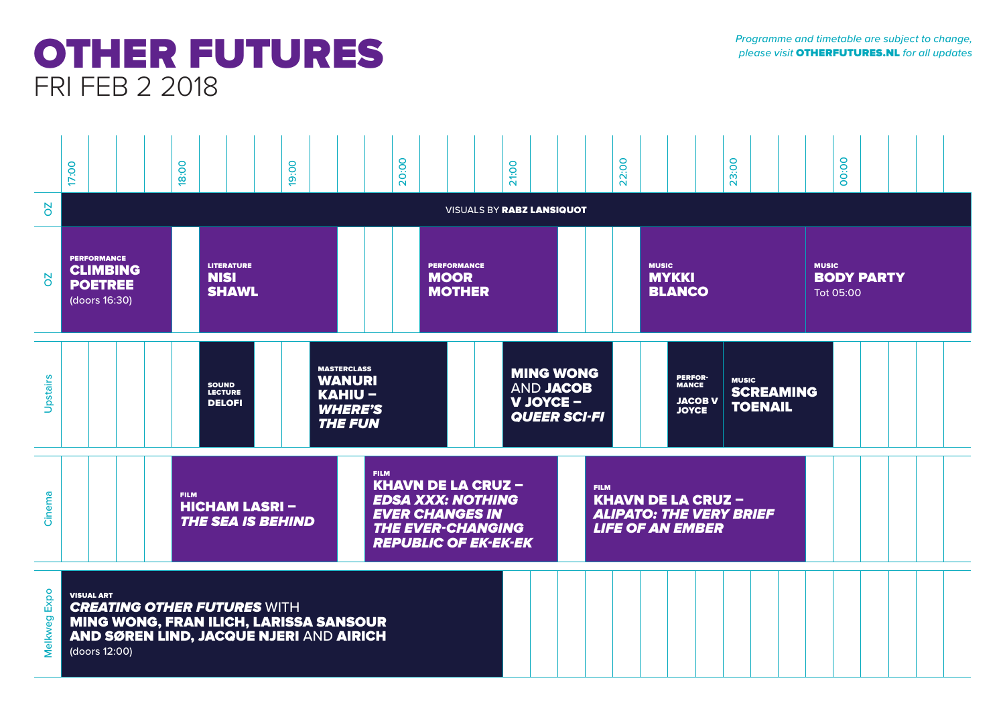## OTHER FUTURES FRI FEB 2 2018

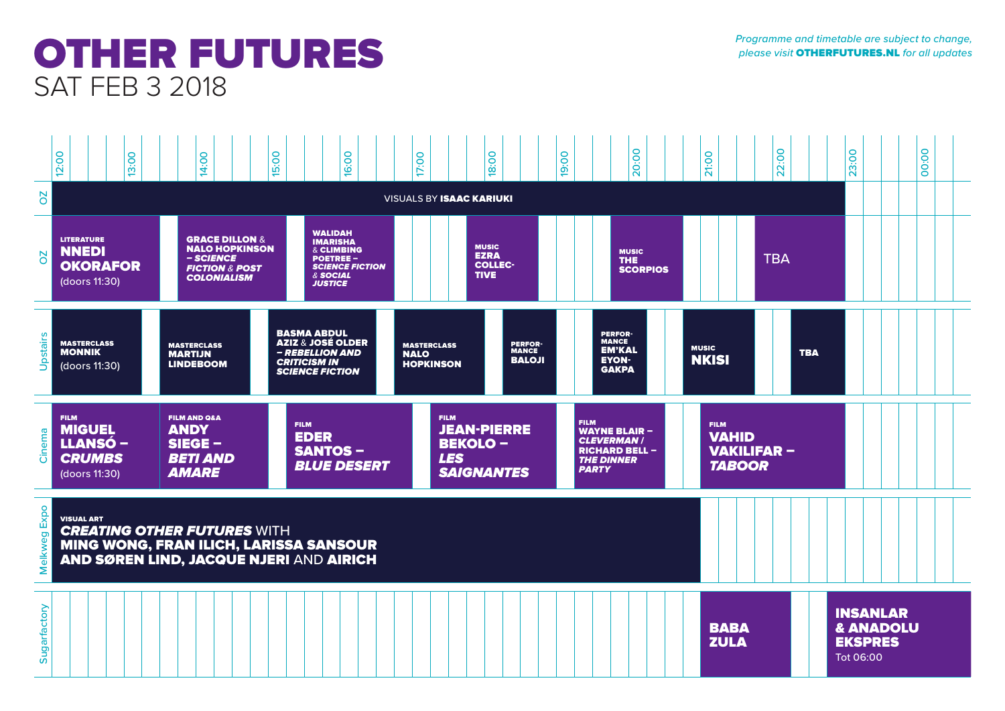## OTHER FUTURES SAT FEB 3 2018